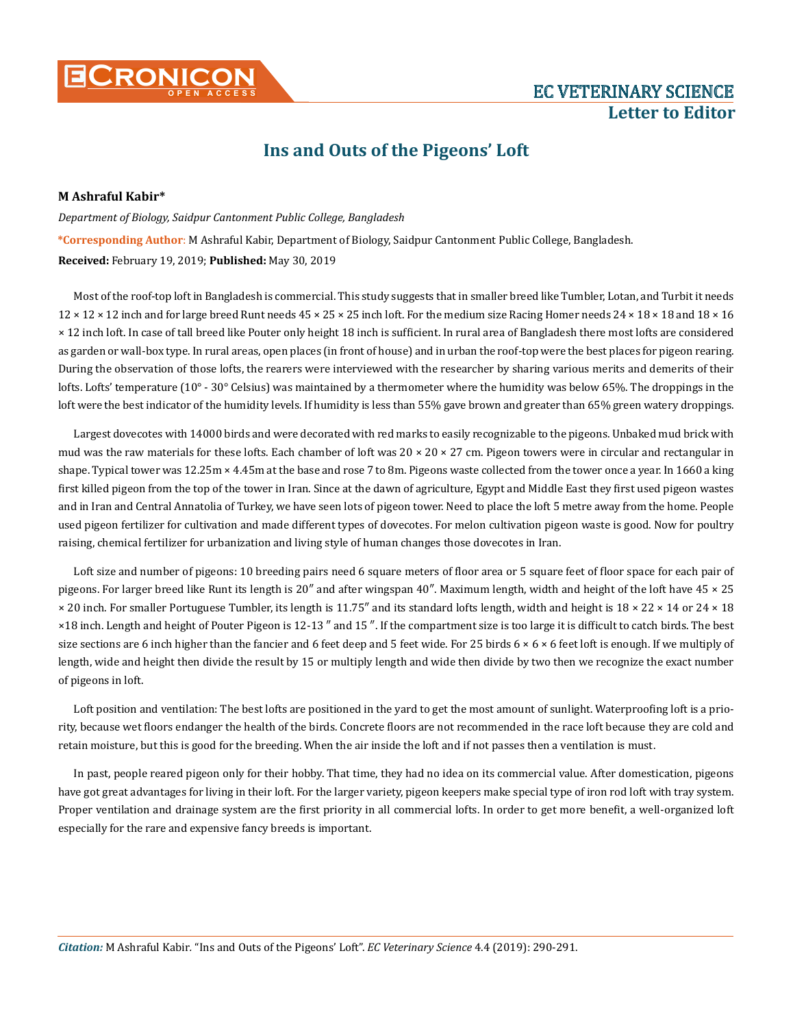

## **Letter to Editor**

## **Ins and Outs of the Pigeons' Loft**

## **M Ashraful Kabir\***

## *Department of Biology, Saidpur Cantonment Public College, Bangladesh*  **\*Corresponding Author**: M Ashraful Kabir, Department of Biology, Saidpur Cantonment Public College, Bangladesh. **Received:** February 19, 2019; **Published:** May 30, 2019

Most of the roof-top loft in Bangladesh is commercial. This study suggests that in smaller breed like Tumbler, Lotan, and Turbit it needs  $12 \times 12 \times 12$  inch and for large breed Runt needs  $45 \times 25 \times 25$  inch loft. For the medium size Racing Homer needs  $24 \times 18 \times 18$  and  $18 \times 16$ × 12 inch loft. In case of tall breed like Pouter only height 18 inch is sufficient. In rural area of Bangladesh there most lofts are considered as garden or wall-box type. In rural areas, open places (in front of house) and in urban the roof-top were the best places for pigeon rearing. During the observation of those lofts, the rearers were interviewed with the researcher by sharing various merits and demerits of their lofts. Lofts' temperature (10° - 30° Celsius) was maintained by a thermometer where the humidity was below 65%. The droppings in the loft were the best indicator of the humidity levels. If humidity is less than 55% gave brown and greater than 65% green watery droppings.

Largest dovecotes with 14000 birds and were decorated with red marks to easily recognizable to the pigeons. Unbaked mud brick with mud was the raw materials for these lofts. Each chamber of loft was  $20 \times 20 \times 27$  cm. Pigeon towers were in circular and rectangular in shape. Typical tower was 12.25m × 4.45m at the base and rose 7 to 8m. Pigeons waste collected from the tower once a year. In 1660 a king first killed pigeon from the top of the tower in Iran. Since at the dawn of agriculture, Egypt and Middle East they first used pigeon wastes and in Iran and Central Annatolia of Turkey, we have seen lots of pigeon tower. Need to place the loft 5 metre away from the home. People used pigeon fertilizer for cultivation and made different types of dovecotes. For melon cultivation pigeon waste is good. Now for poultry raising, chemical fertilizer for urbanization and living style of human changes those dovecotes in Iran.

Loft size and number of pigeons: 10 breeding pairs need 6 square meters of floor area or 5 square feet of floor space for each pair of pigeons. For larger breed like Runt its length is 20″ and after wingspan 40″. Maximum length, width and height of the loft have 45 × 25 × 20 inch. For smaller Portuguese Tumbler, its length is 11.75″ and its standard lofts length, width and height is 18 × 22 × 14 or 24 × 18 ×18 inch. Length and height of Pouter Pigeon is 12-13 ″ and 15 ″. If the compartment size is too large it is difficult to catch birds. The best size sections are 6 inch higher than the fancier and 6 feet deep and 5 feet wide. For 25 birds  $6 \times 6 \times 6$  feet loft is enough. If we multiply of length, wide and height then divide the result by 15 or multiply length and wide then divide by two then we recognize the exact number of pigeons in loft.

Loft position and ventilation: The best lofts are positioned in the yard to get the most amount of sunlight. Waterproofing loft is a priority, because wet floors endanger the health of the birds. Concrete floors are not recommended in the race loft because they are cold and retain moisture, but this is good for the breeding. When the air inside the loft and if not passes then a ventilation is must.

In past, people reared pigeon only for their hobby. That time, they had no idea on its commercial value. After domestication, pigeons have got great advantages for living in their loft. For the larger variety, pigeon keepers make special type of iron rod loft with tray system. Proper ventilation and drainage system are the first priority in all commercial lofts. In order to get more benefit, a well-organized loft especially for the rare and expensive fancy breeds is important.